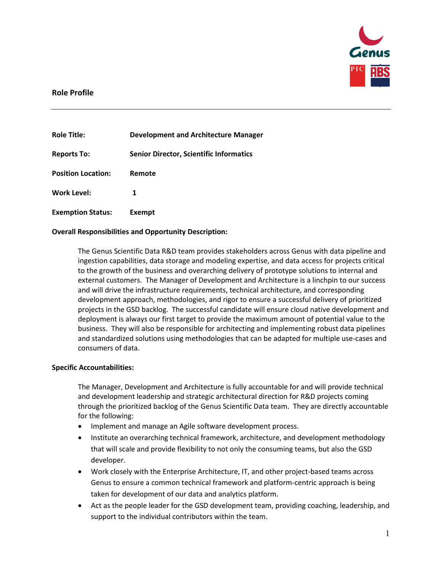

## **Role Profile**

| <b>Role Title:</b>        | <b>Development and Architecture Manager</b>    |
|---------------------------|------------------------------------------------|
| <b>Reports To:</b>        | <b>Senior Director, Scientific Informatics</b> |
| <b>Position Location:</b> | Remote                                         |
| <b>Work Level:</b>        | 1                                              |
| <b>Exemption Status:</b>  | Exempt                                         |

## **Overall Responsibilities and Opportunity Description:**

The Genus Scientific Data R&D team provides stakeholders across Genus with data pipeline and ingestion capabilities, data storage and modeling expertise, and data access for projects critical to the growth of the business and overarching delivery of prototype solutions to internal and external customers. The Manager of Development and Architecture is a linchpin to our success and will drive the infrastructure requirements, technical architecture, and corresponding development approach, methodologies, and rigor to ensure a successful delivery of prioritized projects in the GSD backlog. The successful candidate will ensure cloud native development and deployment is always our first target to provide the maximum amount of potential value to the business. They will also be responsible for architecting and implementing robust data pipelines and standardized solutions using methodologies that can be adapted for multiple use-cases and consumers of data.

#### **Specific Accountabilities:**

The Manager, Development and Architecture is fully accountable for and will provide technical and development leadership and strategic architectural direction for R&D projects coming through the prioritized backlog of the Genus Scientific Data team. They are directly accountable for the following:

- Implement and manage an Agile software development process.
- Institute an overarching technical framework, architecture, and development methodology that will scale and provide flexibility to not only the consuming teams, but also the GSD developer.
- Work closely with the Enterprise Architecture, IT, and other project-based teams across Genus to ensure a common technical framework and platform-centric approach is being taken for development of our data and analytics platform.
- Act as the people leader for the GSD development team, providing coaching, leadership, and support to the individual contributors within the team.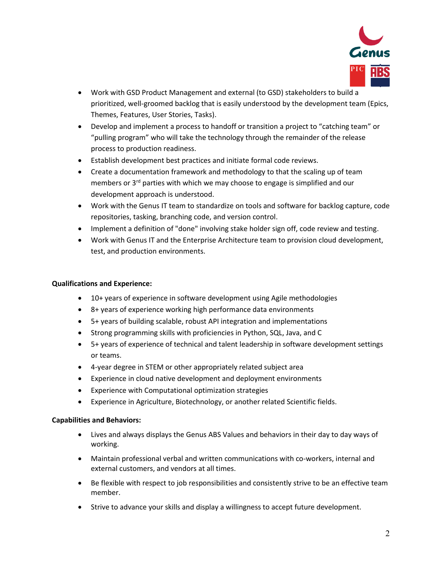

- Work with GSD Product Management and external (to GSD) stakeholders to build a prioritized, well-groomed backlog that is easily understood by the development team (Epics, Themes, Features, User Stories, Tasks).
- Develop and implement a process to handoff or transition a project to "catching team" or "pulling program" who will take the technology through the remainder of the release process to production readiness.
- Establish development best practices and initiate formal code reviews.
- Create a documentation framework and methodology to that the scaling up of team members or 3<sup>rd</sup> parties with which we may choose to engage is simplified and our development approach is understood.
- Work with the Genus IT team to standardize on tools and software for backlog capture, code repositories, tasking, branching code, and version control.
- Implement a definition of "done" involving stake holder sign off, code review and testing.
- Work with Genus IT and the Enterprise Architecture team to provision cloud development, test, and production environments.

# **Qualifications and Experience:**

- 10+ years of experience in software development using Agile methodologies
- 8+ years of experience working high performance data environments
- 5+ years of building scalable, robust API integration and implementations
- Strong programming skills with proficiencies in Python, SQL, Java, and C
- 5+ years of experience of technical and talent leadership in software development settings or teams.
- 4-year degree in STEM or other appropriately related subject area
- Experience in cloud native development and deployment environments
- Experience with Computational optimization strategies
- Experience in Agriculture, Biotechnology, or another related Scientific fields.

## **Capabilities and Behaviors:**

- Lives and always displays the Genus ABS Values and behaviors in their day to day ways of working.
- Maintain professional verbal and written communications with co-workers, internal and external customers, and vendors at all times.
- Be flexible with respect to job responsibilities and consistently strive to be an effective team member.
- Strive to advance your skills and display a willingness to accept future development.